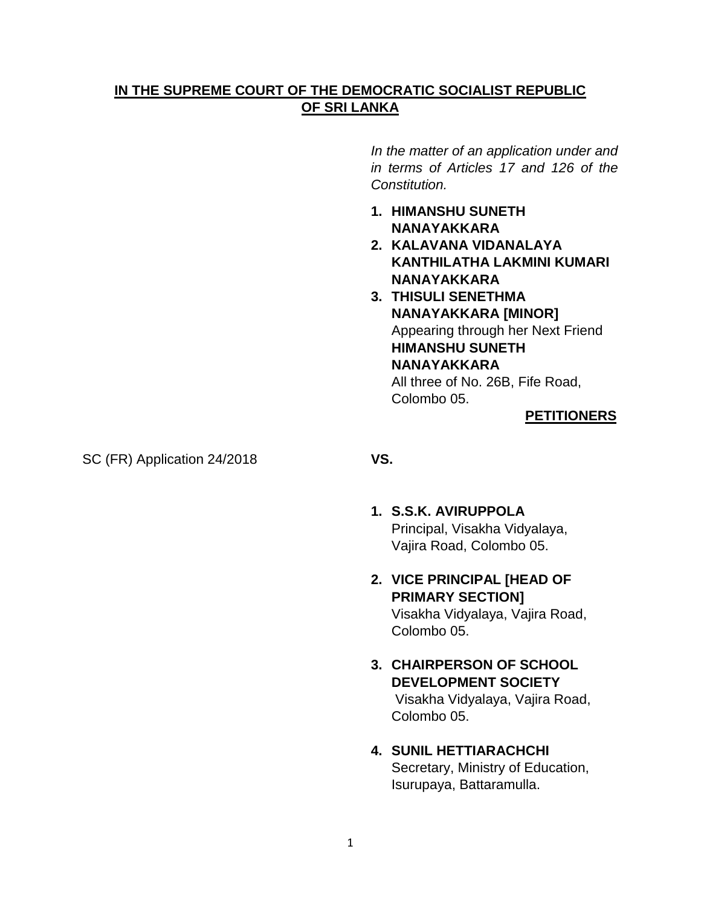## **IN THE SUPREME COURT OF THE DEMOCRATIC SOCIALIST REPUBLIC OF SRI LANKA**

*In the matter of an application under and in terms of Articles 17 and 126 of the Constitution.*

- **1. HIMANSHU SUNETH NANAYAKKARA**
- **2. KALAVANA VIDANALAYA KANTHILATHA LAKMINI KUMARI NANAYAKKARA**
- **3. THISULI SENETHMA NANAYAKKARA [MINOR]** Appearing through her Next Friend **HIMANSHU SUNETH NANAYAKKARA** All three of No. 26B, Fife Road, Colombo 05.

## **PETITIONERS**

SC (FR) Application 24/2018 **VS.**

- **1. S.S.K. AVIRUPPOLA** Principal, Visakha Vidyalaya, Vajira Road, Colombo 05.
- **2. VICE PRINCIPAL [HEAD OF PRIMARY SECTION]** Visakha Vidyalaya, Vajira Road, Colombo 05.
- **3. CHAIRPERSON OF SCHOOL DEVELOPMENT SOCIETY** Visakha Vidyalaya, Vajira Road, Colombo 05.
- **4. SUNIL HETTIARACHCHI** Secretary, Ministry of Education, Isurupaya, Battaramulla.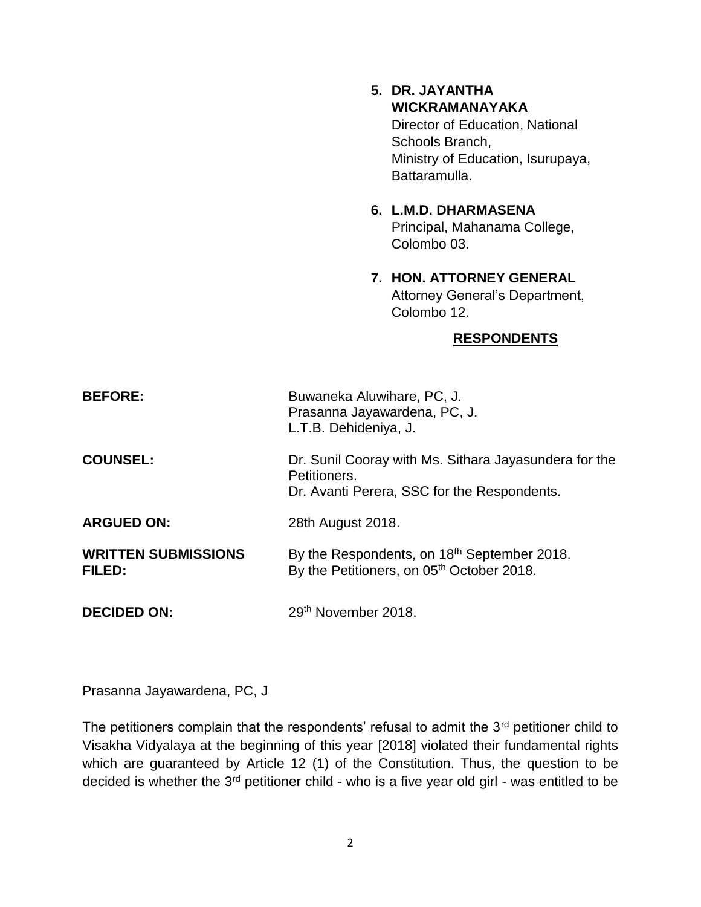- **5. DR. JAYANTHA WICKRAMANAYAKA** Director of Education, National Schools Branch, Ministry of Education, Isurupaya, Battaramulla.
- **6. L.M.D. DHARMASENA** Principal, Mahanama College, Colombo 03.
- **7. HON. ATTORNEY GENERAL** Attorney General's Department, Colombo 12.

## **RESPONDENTS**

| <b>BEFORE:</b>                       | Buwaneka Aluwihare, PC, J.<br>Prasanna Jayawardena, PC, J.<br>L.T.B. Dehideniya, J.                                  |
|--------------------------------------|----------------------------------------------------------------------------------------------------------------------|
| <b>COUNSEL:</b>                      | Dr. Sunil Cooray with Ms. Sithara Jayasundera for the<br>Petitioners.<br>Dr. Avanti Perera, SSC for the Respondents. |
| <b>ARGUED ON:</b>                    | 28th August 2018.                                                                                                    |
| <b>WRITTEN SUBMISSIONS</b><br>FILED: | By the Respondents, on 18th September 2018.<br>By the Petitioners, on 05th October 2018.                             |
| <b>DECIDED ON:</b>                   | 29th November 2018.                                                                                                  |

Prasanna Jayawardena, PC, J

The petitioners complain that the respondents' refusal to admit the  $3<sup>rd</sup>$  petitioner child to Visakha Vidyalaya at the beginning of this year [2018] violated their fundamental rights which are guaranteed by Article 12 (1) of the Constitution. Thus, the question to be decided is whether the 3<sup>rd</sup> petitioner child - who is a five year old girl - was entitled to be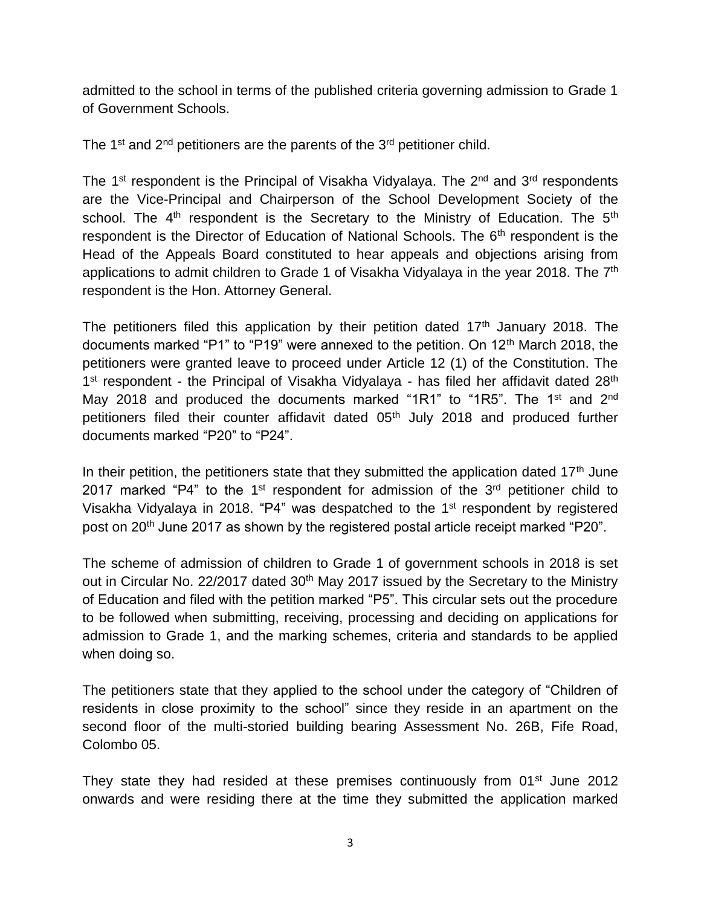admitted to the school in terms of the published criteria governing admission to Grade 1 of Government Schools.

The 1<sup>st</sup> and 2<sup>nd</sup> petitioners are the parents of the 3<sup>rd</sup> petitioner child.

The 1<sup>st</sup> respondent is the Principal of Visakha Vidyalaya. The  $2<sup>nd</sup>$  and  $3<sup>rd</sup>$  respondents are the Vice-Principal and Chairperson of the School Development Society of the school. The  $4<sup>th</sup>$  respondent is the Secretary to the Ministry of Education. The  $5<sup>th</sup>$ respondent is the Director of Education of National Schools. The 6<sup>th</sup> respondent is the Head of the Appeals Board constituted to hear appeals and objections arising from applications to admit children to Grade 1 of Visakha Vidyalaya in the year 2018. The 7<sup>th</sup> respondent is the Hon. Attorney General.

The petitioners filed this application by their petition dated  $17<sup>th</sup>$  January 2018. The documents marked "P1" to "P19" were annexed to the petition. On  $12<sup>th</sup>$  March 2018, the petitioners were granted leave to proceed under Article 12 (1) of the Constitution. The 1<sup>st</sup> respondent - the Principal of Visakha Vidyalaya - has filed her affidavit dated 28<sup>th</sup> May 2018 and produced the documents marked "1R1" to "1R5". The 1<sup>st</sup> and 2<sup>nd</sup> petitioners filed their counter affidavit dated 05<sup>th</sup> July 2018 and produced further documents marked "P20" to "P24".

In their petition, the petitioners state that they submitted the application dated  $17<sup>th</sup>$  June 2017 marked "P4" to the 1<sup>st</sup> respondent for admission of the  $3<sup>rd</sup>$  petitioner child to Visakha Vidyalaya in 2018. "P4" was despatched to the 1<sup>st</sup> respondent by registered post on 20<sup>th</sup> June 2017 as shown by the registered postal article receipt marked "P20".

The scheme of admission of children to Grade 1 of government schools in 2018 is set out in Circular No. 22/2017 dated 30<sup>th</sup> May 2017 issued by the Secretary to the Ministry of Education and filed with the petition marked "P5". This circular sets out the procedure to be followed when submitting, receiving, processing and deciding on applications for admission to Grade 1, and the marking schemes, criteria and standards to be applied when doing so.

The petitioners state that they applied to the school under the category of "Children of residents in close proximity to the school" since they reside in an apartment on the second floor of the multi-storied building bearing Assessment No. 26B, Fife Road, Colombo 05.

They state they had resided at these premises continuously from 01<sup>st</sup> June 2012 onwards and were residing there at the time they submitted the application marked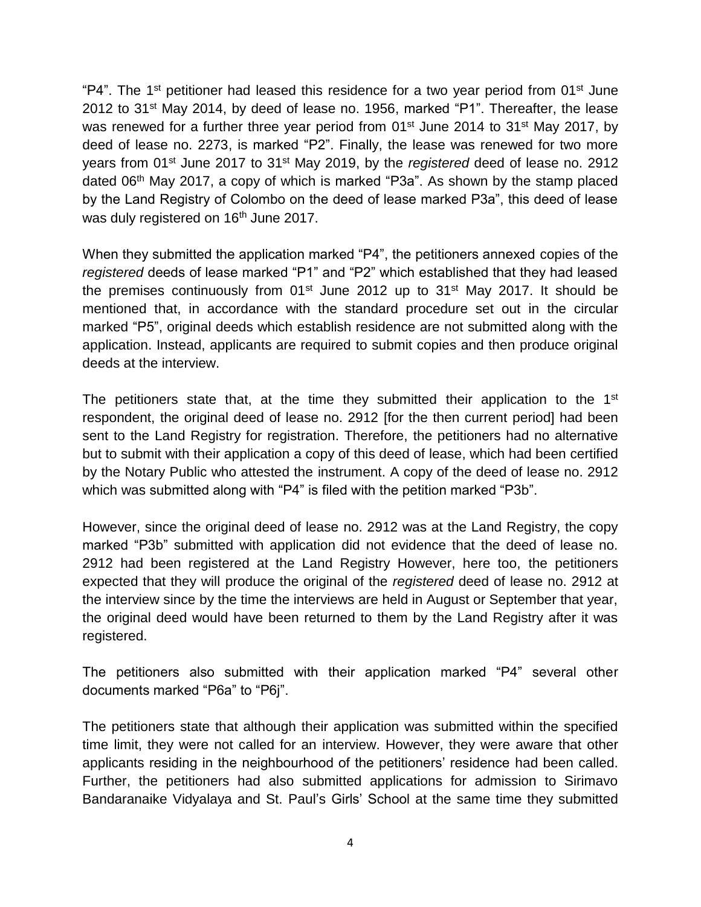"P4". The 1<sup>st</sup> petitioner had leased this residence for a two year period from 01<sup>st</sup> June 2012 to 31st May 2014, by deed of lease no. 1956, marked "P1". Thereafter, the lease was renewed for a further three year period from 01<sup>st</sup> June 2014 to 31<sup>st</sup> May 2017, by deed of lease no. 2273, is marked "P2". Finally, the lease was renewed for two more years from 01st June 2017 to 31st May 2019, by the *registered* deed of lease no. 2912 dated 06<sup>th</sup> May 2017, a copy of which is marked "P3a". As shown by the stamp placed by the Land Registry of Colombo on the deed of lease marked P3a", this deed of lease was duly registered on 16<sup>th</sup> June 2017.

When they submitted the application marked "P4", the petitioners annexed copies of the *registered* deeds of lease marked "P1" and "P2" which established that they had leased the premises continuously from  $01<sup>st</sup>$  June 2012 up to  $31<sup>st</sup>$  May 2017. It should be mentioned that, in accordance with the standard procedure set out in the circular marked "P5", original deeds which establish residence are not submitted along with the application. Instead, applicants are required to submit copies and then produce original deeds at the interview.

The petitioners state that, at the time they submitted their application to the 1<sup>st</sup> respondent, the original deed of lease no. 2912 [for the then current period] had been sent to the Land Registry for registration. Therefore, the petitioners had no alternative but to submit with their application a copy of this deed of lease, which had been certified by the Notary Public who attested the instrument. A copy of the deed of lease no. 2912 which was submitted along with "P4" is filed with the petition marked "P3b".

However, since the original deed of lease no. 2912 was at the Land Registry, the copy marked "P3b" submitted with application did not evidence that the deed of lease no. 2912 had been registered at the Land Registry However, here too, the petitioners expected that they will produce the original of the *registered* deed of lease no. 2912 at the interview since by the time the interviews are held in August or September that year, the original deed would have been returned to them by the Land Registry after it was registered.

The petitioners also submitted with their application marked "P4" several other documents marked "P6a" to "P6j".

The petitioners state that although their application was submitted within the specified time limit, they were not called for an interview. However, they were aware that other applicants residing in the neighbourhood of the petitioners' residence had been called. Further, the petitioners had also submitted applications for admission to Sirimavo Bandaranaike Vidyalaya and St. Paul's Girls' School at the same time they submitted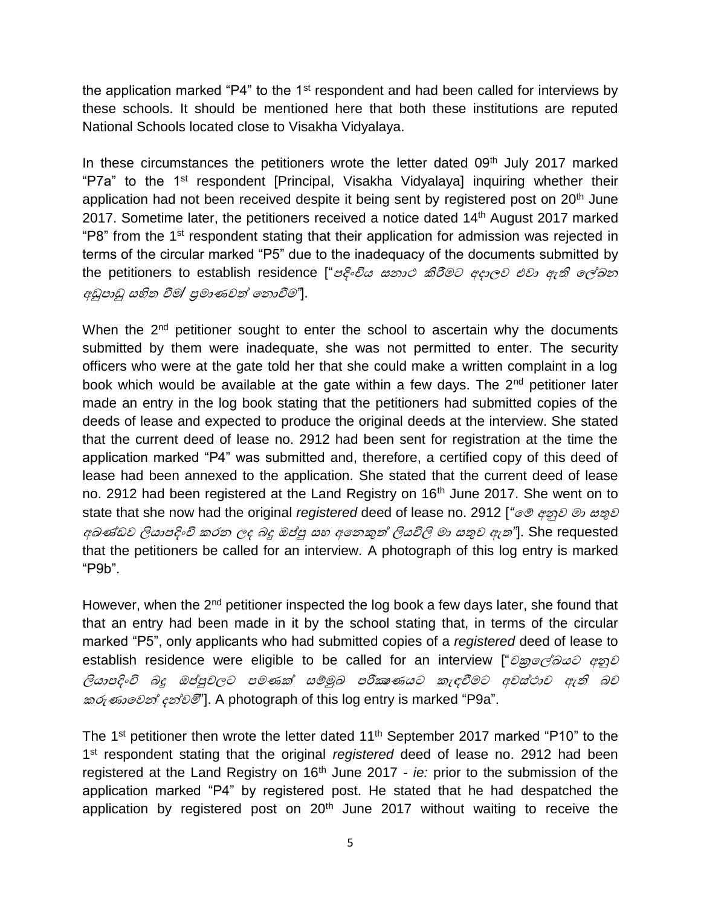the application marked "P4" to the  $1<sup>st</sup>$  respondent and had been called for interviews by these schools. It should be mentioned here that both these institutions are reputed National Schools located close to Visakha Vidyalaya.

In these circumstances the petitioners wrote the letter dated 09<sup>th</sup> July 2017 marked "P7a" to the 1<sup>st</sup> respondent [Principal, Visakha Vidyalaya] inquiring whether their application had not been received despite it being sent by registered post on 20<sup>th</sup> June 2017. Sometime later, the petitioners received a notice dated 14<sup>th</sup> August 2017 marked "P8" from the 1st respondent stating that their application for admission was rejected in terms of the circular marked "P5" due to the inadequacy of the documents submitted by the petitioners to establish residence ["පදිංචිය සනාථ කිරීමට අදාලව එවා ඇති ලේඛන අඩුපාඩු සහිත වීම*/* ප්රමාණවත් ලනාවීම*"*].

When the  $2<sup>nd</sup>$  petitioner sought to enter the school to ascertain why the documents submitted by them were inadequate, she was not permitted to enter. The security officers who were at the gate told her that she could make a written complaint in a log book which would be available at the gate within a few days. The  $2<sup>nd</sup>$  petitioner later made an entry in the log book stating that the petitioners had submitted copies of the deeds of lease and expected to produce the original deeds at the interview. She stated that the current deed of lease no. 2912 had been sent for registration at the time the application marked "P4" was submitted and, therefore, a certified copy of this deed of lease had been annexed to the application. She stated that the current deed of lease no. 2912 had been registered at the Land Registry on 16<sup>th</sup> June 2017. She went on to state that she now had the original *registered* deed of lease no. 2912 [*"*ලේ අනුව මා සතුව අඛණ්ඩව ලියාපදිංචි කරන ලද බදු ඔප්පු සහ අලනකුත් ලියවිලි මා සතුව ඇත*"*]. She requested that the petitioners be called for an interview. A photograph of this log entry is marked "P9b".

However, when the 2<sup>nd</sup> petitioner inspected the log book a few days later, she found that that an entry had been made in it by the school stating that, in terms of the circular marked "P5", only applicants who had submitted copies of a *registered* deed of lease to establish residence were eligible to be called for an interview ["චක්රලේඛයට අනුව ලියාපදිංචි බදු ඔප්පුවලට පමණක් සේුඛ පරීක්ෂණයට කැඳවීමට අවස්ථාව ඇති බව කරුණාලවන් දන්වමි"]. A photograph of this log entry is marked "P9a".

The 1<sup>st</sup> petitioner then wrote the letter dated  $11<sup>th</sup>$  September 2017 marked "P10" to the 1<sup>st</sup> respondent stating that the original *registered* deed of lease no. 2912 had been registered at the Land Registry on 16<sup>th</sup> June 2017 - *ie:* prior to the submission of the application marked "P4" by registered post. He stated that he had despatched the application by registered post on  $20<sup>th</sup>$  June 2017 without waiting to receive the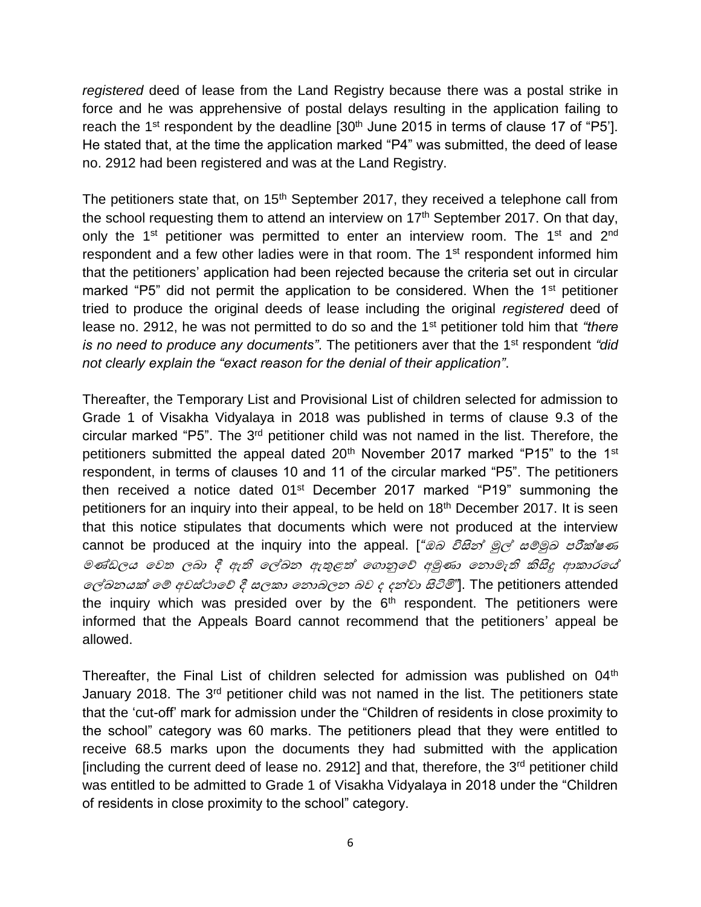*registered* deed of lease from the Land Registry because there was a postal strike in force and he was apprehensive of postal delays resulting in the application failing to reach the 1<sup>st</sup> respondent by the deadline [30<sup>th</sup> June 2015 in terms of clause 17 of "P5"]. He stated that, at the time the application marked "P4" was submitted, the deed of lease no. 2912 had been registered and was at the Land Registry.

The petitioners state that, on  $15<sup>th</sup>$  September 2017, they received a telephone call from the school requesting them to attend an interview on  $17<sup>th</sup>$  September 2017. On that day, only the 1<sup>st</sup> petitioner was permitted to enter an interview room. The 1<sup>st</sup> and 2<sup>nd</sup> respondent and a few other ladies were in that room. The 1<sup>st</sup> respondent informed him that the petitioners' application had been rejected because the criteria set out in circular marked "P5" did not permit the application to be considered. When the 1<sup>st</sup> petitioner tried to produce the original deeds of lease including the original *registered* deed of lease no. 2912, he was not permitted to do so and the 1st petitioner told him that *"there is no need to produce any documents"*. The petitioners aver that the 1st respondent *"did not clearly explain the "exact reason for the denial of their application"*.

Thereafter, the Temporary List and Provisional List of children selected for admission to Grade 1 of Visakha Vidyalaya in 2018 was published in terms of clause 9.3 of the circular marked "P5". The 3<sup>rd</sup> petitioner child was not named in the list. Therefore, the petitioners submitted the appeal dated  $20<sup>th</sup>$  November 2017 marked "P15" to the 1<sup>st</sup> respondent, in terms of clauses 10 and 11 of the circular marked "P5". The petitioners then received a notice dated 01<sup>st</sup> December 2017 marked "P19" summoning the petitioners for an inquiry into their appeal, to be held on 18<sup>th</sup> December 2017. It is seen that this notice stipulates that documents which were not produced at the interview cannot be produced at the inquiry into the appeal. [*"ඔබ විසින් මූල් සම්මූඛ පරීක්ෂණ* මණ්ඩලය ලවත ලබා දී ඇති ලේඛන ඇතුළත් ල ානුලේ අුණා ලනාමැති කිසිදු ආකාරලේ ලේඛනයක් ලේ අවස්ථාලේ දී සලකා ලනාබලන බව <sup>ද</sup> දන්වා සිටිමි*"*]. The petitioners attended the inquiry which was presided over by the  $6<sup>th</sup>$  respondent. The petitioners were informed that the Appeals Board cannot recommend that the petitioners' appeal be allowed.

Thereafter, the Final List of children selected for admission was published on 04<sup>th</sup> January 2018. The 3<sup>rd</sup> petitioner child was not named in the list. The petitioners state that the 'cut-off' mark for admission under the "Children of residents in close proximity to the school" category was 60 marks. The petitioners plead that they were entitled to receive 68.5 marks upon the documents they had submitted with the application [including the current deed of lease no. 2912] and that, therefore, the  $3<sup>rd</sup>$  petitioner child was entitled to be admitted to Grade 1 of Visakha Vidyalaya in 2018 under the "Children of residents in close proximity to the school" category.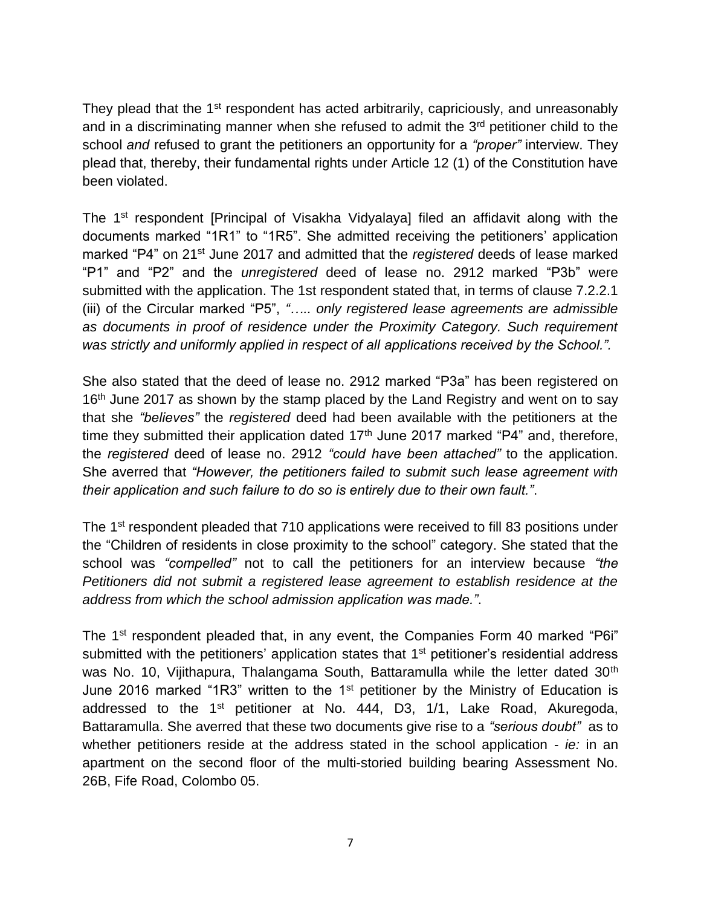They plead that the 1<sup>st</sup> respondent has acted arbitrarily, capriciously, and unreasonably and in a discriminating manner when she refused to admit the 3<sup>rd</sup> petitioner child to the school *and* refused to grant the petitioners an opportunity for a *"proper"* interview. They plead that, thereby, their fundamental rights under Article 12 (1) of the Constitution have been violated.

The 1<sup>st</sup> respondent [Principal of Visakha Vidyalaya] filed an affidavit along with the documents marked "1R1" to "1R5". She admitted receiving the petitioners' application marked "P4" on 21st June 2017 and admitted that the *registered* deeds of lease marked "P1" and "P2" and the *unregistered* deed of lease no. 2912 marked "P3b" were submitted with the application. The 1st respondent stated that, in terms of clause 7.2.2.1 (iii) of the Circular marked "P5", *"….. only registered lease agreements are admissible as documents in proof of residence under the Proximity Category. Such requirement was strictly and uniformly applied in respect of all applications received by the School.".* 

She also stated that the deed of lease no. 2912 marked "P3a" has been registered on 16<sup>th</sup> June 2017 as shown by the stamp placed by the Land Registry and went on to say that she *"believes"* the *registered* deed had been available with the petitioners at the time they submitted their application dated  $17<sup>th</sup>$  June 2017 marked "P4" and, therefore, the *registered* deed of lease no. 2912 *"could have been attached"* to the application. She averred that *"However, the petitioners failed to submit such lease agreement with their application and such failure to do so is entirely due to their own fault."*.

The 1<sup>st</sup> respondent pleaded that 710 applications were received to fill 83 positions under the "Children of residents in close proximity to the school" category. She stated that the school was *"compelled"* not to call the petitioners for an interview because *"the Petitioners did not submit a registered lease agreement to establish residence at the address from which the school admission application was made."*.

The 1<sup>st</sup> respondent pleaded that, in any event, the Companies Form 40 marked "P6i" submitted with the petitioners' application states that 1<sup>st</sup> petitioner's residential address was No. 10, Vijithapura, Thalangama South, Battaramulla while the letter dated 30<sup>th</sup> June 2016 marked "1R3" written to the 1<sup>st</sup> petitioner by the Ministry of Education is addressed to the  $1<sup>st</sup>$  petitioner at No. 444, D3,  $1/1$ , Lake Road, Akuregoda, Battaramulla. She averred that these two documents give rise to a *"serious doubt"* as to whether petitioners reside at the address stated in the school application - *ie:* in an apartment on the second floor of the multi-storied building bearing Assessment No. 26B, Fife Road, Colombo 05.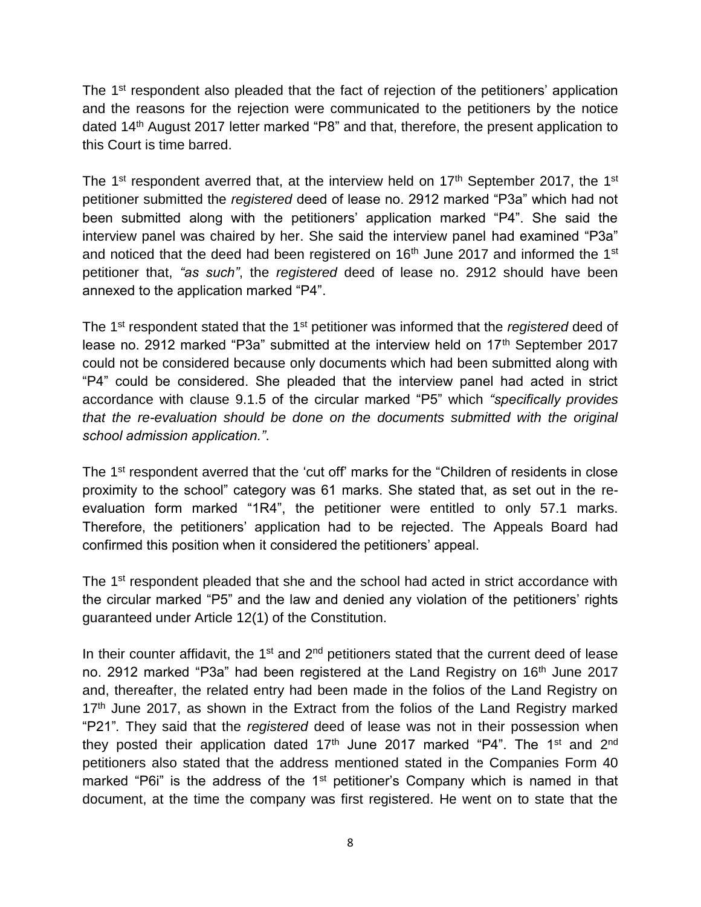The 1<sup>st</sup> respondent also pleaded that the fact of rejection of the petitioners' application and the reasons for the rejection were communicated to the petitioners by the notice dated 14th August 2017 letter marked "P8" and that, therefore, the present application to this Court is time barred.

The 1<sup>st</sup> respondent averred that, at the interview held on  $17<sup>th</sup>$  September 2017, the 1<sup>st</sup> petitioner submitted the *registered* deed of lease no. 2912 marked "P3a" which had not been submitted along with the petitioners' application marked "P4". She said the interview panel was chaired by her. She said the interview panel had examined "P3a" and noticed that the deed had been registered on  $16<sup>th</sup>$  June 2017 and informed the  $1<sup>st</sup>$ petitioner that, *"as such"*, the *registered* deed of lease no. 2912 should have been annexed to the application marked "P4".

The 1st respondent stated that the 1st petitioner was informed that the *registered* deed of lease no. 2912 marked "P3a" submitted at the interview held on 17<sup>th</sup> September 2017 could not be considered because only documents which had been submitted along with "P4" could be considered. She pleaded that the interview panel had acted in strict accordance with clause 9.1.5 of the circular marked "P5" which *"specifically provides that the re-evaluation should be done on the documents submitted with the original school admission application."*.

The 1<sup>st</sup> respondent averred that the 'cut off' marks for the "Children of residents in close proximity to the school" category was 61 marks. She stated that, as set out in the reevaluation form marked "1R4", the petitioner were entitled to only 57.1 marks. Therefore, the petitioners' application had to be rejected. The Appeals Board had confirmed this position when it considered the petitioners' appeal.

The 1<sup>st</sup> respondent pleaded that she and the school had acted in strict accordance with the circular marked "P5" and the law and denied any violation of the petitioners' rights guaranteed under Article 12(1) of the Constitution.

In their counter affidavit, the  $1<sup>st</sup>$  and  $2<sup>nd</sup>$  petitioners stated that the current deed of lease no. 2912 marked "P3a" had been registered at the Land Registry on 16<sup>th</sup> June 2017 and, thereafter, the related entry had been made in the folios of the Land Registry on  $17<sup>th</sup>$  June 2017, as shown in the Extract from the folios of the Land Registry marked "P21"*.* They said that the *registered* deed of lease was not in their possession when they posted their application dated  $17<sup>th</sup>$  June 2017 marked "P4". The  $1<sup>st</sup>$  and  $2<sup>nd</sup>$ petitioners also stated that the address mentioned stated in the Companies Form 40 marked "P6i" is the address of the 1<sup>st</sup> petitioner's Company which is named in that document, at the time the company was first registered. He went on to state that the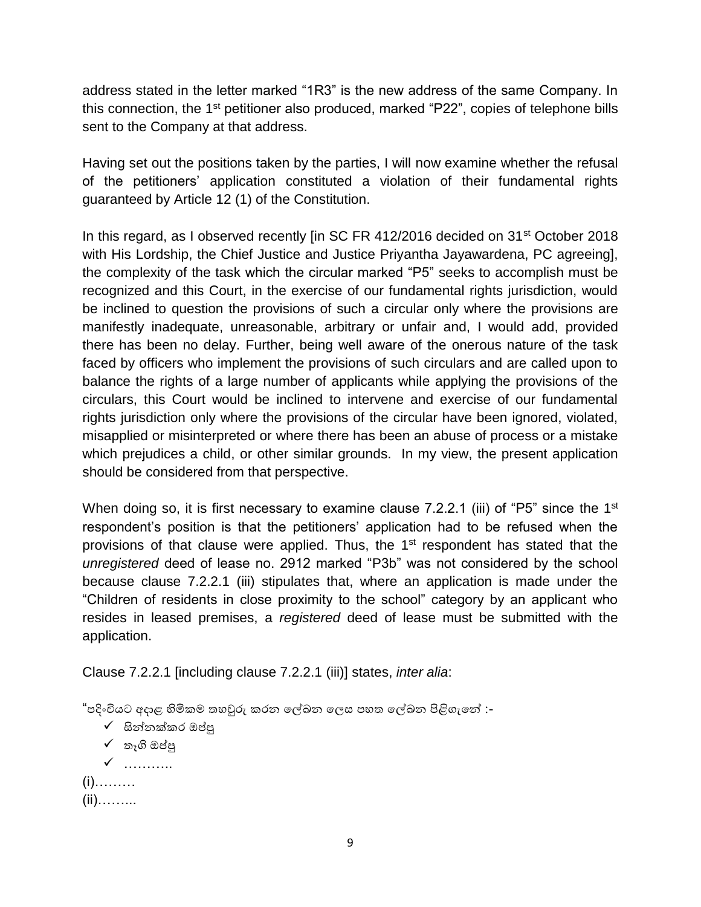address stated in the letter marked "1R3" is the new address of the same Company. In this connection, the 1<sup>st</sup> petitioner also produced, marked "P22", copies of telephone bills sent to the Company at that address.

Having set out the positions taken by the parties, I will now examine whether the refusal of the petitioners' application constituted a violation of their fundamental rights guaranteed by Article 12 (1) of the Constitution.

In this regard, as I observed recently [in SC FR 412/2016 decided on 31<sup>st</sup> October 2018 with His Lordship, the Chief Justice and Justice Priyantha Jayawardena, PC agreeing], the complexity of the task which the circular marked "P5" seeks to accomplish must be recognized and this Court, in the exercise of our fundamental rights jurisdiction, would be inclined to question the provisions of such a circular only where the provisions are manifestly inadequate, unreasonable, arbitrary or unfair and, I would add, provided there has been no delay. Further, being well aware of the onerous nature of the task faced by officers who implement the provisions of such circulars and are called upon to balance the rights of a large number of applicants while applying the provisions of the circulars, this Court would be inclined to intervene and exercise of our fundamental rights jurisdiction only where the provisions of the circular have been ignored, violated, misapplied or misinterpreted or where there has been an abuse of process or a mistake which prejudices a child, or other similar grounds. In my view, the present application should be considered from that perspective.

When doing so, it is first necessary to examine clause 7.2.2.1 (iii) of "P5" since the 1<sup>st</sup> respondent's position is that the petitioners' application had to be refused when the provisions of that clause were applied. Thus, the 1<sup>st</sup> respondent has stated that the *unregistered* deed of lease no. 2912 marked "P3b" was not considered by the school because clause 7.2.2.1 (iii) stipulates that, where an application is made under the "Children of residents in close proximity to the school" category by an applicant who resides in leased premises, a *registered* deed of lease must be submitted with the application.

Clause 7.2.2.1 [including clause 7.2.2.1 (iii)] states, *inter alia*:

"පදිංචියට අදාළ හිමිකම තහවුරු කරන ලේඛන ලෙස පහත ලේඛන පිළිගැලේ :-

- $\checkmark$  සින්නක්කර ඔප්පු
- $\checkmark$  තෑගි ඔප්පු

✓ ……….. (i)……… (ii)……...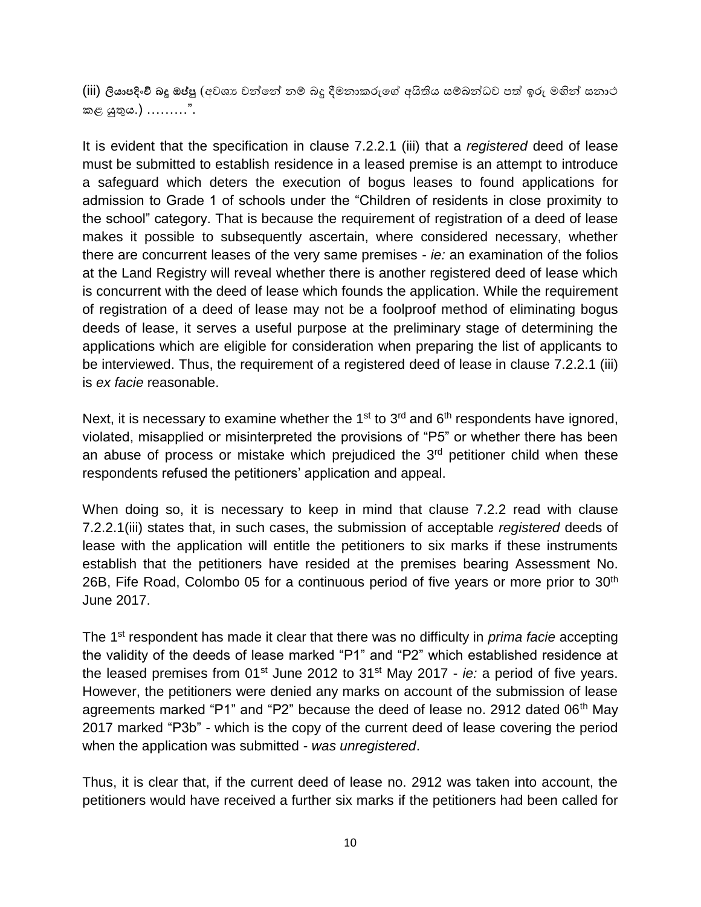(iii) ලියාපදිංචි බදූ ඔප්පු (අවශා<sup>පු</sup> වන්නේ නම් බදූ දීමනාකරුගේ අයිතිය සම්බන්ධව පත් ඉරු මහින් සනාථ කළ යුතුය.) ………".

It is evident that the specification in clause 7.2.2.1 (iii) that a *registered* deed of lease must be submitted to establish residence in a leased premise is an attempt to introduce a safeguard which deters the execution of bogus leases to found applications for admission to Grade 1 of schools under the "Children of residents in close proximity to the school" category. That is because the requirement of registration of a deed of lease makes it possible to subsequently ascertain, where considered necessary, whether there are concurrent leases of the very same premises - *ie:* an examination of the folios at the Land Registry will reveal whether there is another registered deed of lease which is concurrent with the deed of lease which founds the application. While the requirement of registration of a deed of lease may not be a foolproof method of eliminating bogus deeds of lease, it serves a useful purpose at the preliminary stage of determining the applications which are eligible for consideration when preparing the list of applicants to be interviewed. Thus, the requirement of a registered deed of lease in clause 7.2.2.1 (iii) is *ex facie* reasonable.

Next, it is necessary to examine whether the 1<sup>st</sup> to 3<sup>rd</sup> and  $6<sup>th</sup>$  respondents have ignored, violated, misapplied or misinterpreted the provisions of "P5" or whether there has been an abuse of process or mistake which prejudiced the  $3<sup>rd</sup>$  petitioner child when these respondents refused the petitioners' application and appeal.

When doing so, it is necessary to keep in mind that clause 7.2.2 read with clause 7.2.2.1(iii) states that, in such cases, the submission of acceptable *registered* deeds of lease with the application will entitle the petitioners to six marks if these instruments establish that the petitioners have resided at the premises bearing Assessment No. 26B, Fife Road, Colombo 05 for a continuous period of five years or more prior to  $30<sup>th</sup>$ June 2017.

The 1st respondent has made it clear that there was no difficulty in *prima facie* accepting the validity of the deeds of lease marked "P1" and "P2" which established residence at the leased premises from 01<sup>st</sup> June 2012 to 31<sup>st</sup> May 2017 - *ie:* a period of five years. However, the petitioners were denied any marks on account of the submission of lease agreements marked "P1" and "P2" because the deed of lease no. 2912 dated 06<sup>th</sup> May 2017 marked "P3b" - which is the copy of the current deed of lease covering the period when the application was submitted - *was unregistered*.

Thus, it is clear that, if the current deed of lease no. 2912 was taken into account, the petitioners would have received a further six marks if the petitioners had been called for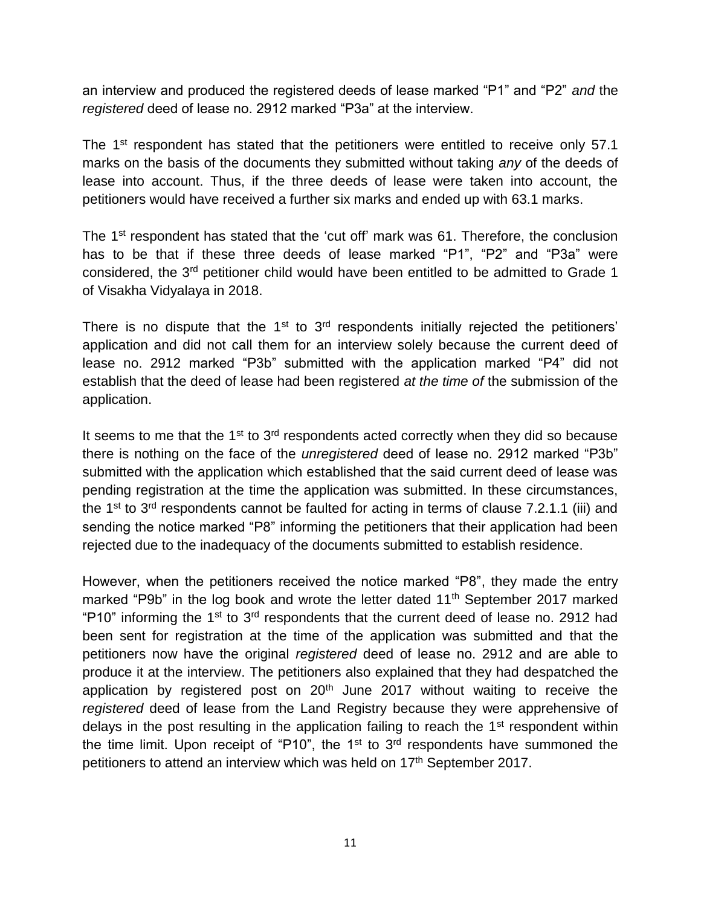an interview and produced the registered deeds of lease marked "P1" and "P2" *and* the *registered* deed of lease no. 2912 marked "P3a" at the interview.

The 1<sup>st</sup> respondent has stated that the petitioners were entitled to receive only 57.1 marks on the basis of the documents they submitted without taking *any* of the deeds of lease into account. Thus, if the three deeds of lease were taken into account, the petitioners would have received a further six marks and ended up with 63.1 marks.

The 1<sup>st</sup> respondent has stated that the 'cut off' mark was 61. Therefore, the conclusion has to be that if these three deeds of lease marked "P1", "P2" and "P3a" were considered, the 3rd petitioner child would have been entitled to be admitted to Grade 1 of Visakha Vidyalaya in 2018.

There is no dispute that the  $1<sup>st</sup>$  to  $3<sup>rd</sup>$  respondents initially rejected the petitioners' application and did not call them for an interview solely because the current deed of lease no. 2912 marked "P3b" submitted with the application marked "P4" did not establish that the deed of lease had been registered *at the time of* the submission of the application.

It seems to me that the  $1<sup>st</sup>$  to  $3<sup>rd</sup>$  respondents acted correctly when they did so because there is nothing on the face of the *unregistered* deed of lease no. 2912 marked "P3b" submitted with the application which established that the said current deed of lease was pending registration at the time the application was submitted. In these circumstances, the 1<sup>st</sup> to 3<sup>rd</sup> respondents cannot be faulted for acting in terms of clause 7.2.1.1 (iii) and sending the notice marked "P8" informing the petitioners that their application had been rejected due to the inadequacy of the documents submitted to establish residence.

However, when the petitioners received the notice marked "P8", they made the entry marked "P9b" in the log book and wrote the letter dated 11<sup>th</sup> September 2017 marked "P10" informing the  $1<sup>st</sup>$  to  $3<sup>rd</sup>$  respondents that the current deed of lease no. 2912 had been sent for registration at the time of the application was submitted and that the petitioners now have the original *registered* deed of lease no. 2912 and are able to produce it at the interview. The petitioners also explained that they had despatched the application by registered post on  $20<sup>th</sup>$  June 2017 without waiting to receive the *registered* deed of lease from the Land Registry because they were apprehensive of delays in the post resulting in the application failing to reach the  $1<sup>st</sup>$  respondent within the time limit. Upon receipt of "P10", the  $1<sup>st</sup>$  to  $3<sup>rd</sup>$  respondents have summoned the petitioners to attend an interview which was held on 17<sup>th</sup> September 2017.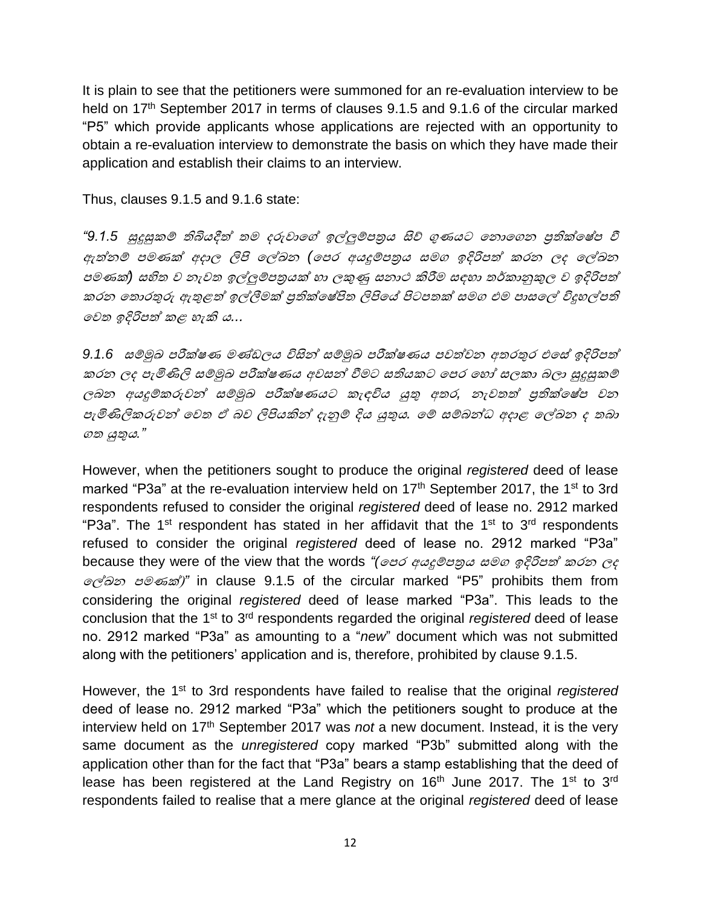It is plain to see that the petitioners were summoned for an re-evaluation interview to be held on 17<sup>th</sup> September 2017 in terms of clauses 9.1.5 and 9.1.6 of the circular marked "P5" which provide applicants whose applications are rejected with an opportunity to obtain a re-evaluation interview to demonstrate the basis on which they have made their application and establish their claims to an interview.

Thus, clauses 9.1.5 and 9.1.6 state:

"9.1.5 සුදුසුකම් තිබියදීත් තම දරුවාගේ ඉල්ලුම්පතුය සිව් ගුණයට නොගෙන පුතික්*ලෂ්ප* වී ඇත්නම් පමණක් අදාල ලිපි ලේඛන (පෙර අයදුම්ප<u>ත</u>ුය සමග ඉදිරිපත් කරන ලද ලේඛන පමණක්*)* සහිත <sup>ව</sup> නැවත ඉේුේපත්රයක් හා ලකුණු සනාථ කිරීම සඳහා තර්කානුකුල <sup>ව</sup> ඉදරිපත් කරන තොරතුරු ඇතුළත් ඉල්ලීමක් පුතික්ලෂ්පිත ලිපියේ පිටපතක් සමග එම පාසලේ විදුහල්පති ලවත ඉදරිපත් කළ හැකි <sup>ය</sup>*...*

*9.1.6* සේුඛ පරීක්ෂණ මණ්ඩලය විසින් සේුඛ පරීක්ෂණය පවත්වන අතරතුර එලස් ඉදරිපත් කරන ලද පැමිණිලි සේුඛ පරීක්ෂණය අවසන් වීමට සතියකට ලපර ලහෝ සලකා බලා සුදුසුකේ ලබන අයදුේකරුවන් සේුඛ පරීක්ෂණයට කැඳවිය යුතු අතර*,* නැවතත් ප්රතික්ලෂ්ප වන පැමිණිලිකරුවන් ලවත <sup>ඒ</sup> බව ලිපියකින් දැනුේ දය යුතුය*.* ලේ සේබන්ධ අදාළ ලේඛන <sup>ද</sup> තබා <sup>ත</sup> යුතුය*."*

However, when the petitioners sought to produce the original *registered* deed of lease marked "P3a" at the re-evaluation interview held on 17<sup>th</sup> September 2017, the 1<sup>st</sup> to 3rd respondents refused to consider the original *registered* deed of lease no. 2912 marked "P3a". The 1<sup>st</sup> respondent has stated in her affidavit that the 1<sup>st</sup> to 3<sup>rd</sup> respondents refused to consider the original *registered* deed of lease no. 2912 marked "P3a" because they were of the view that the words *"(*ලපර අයදුේපත්රය සම ඉදරිපත් කරන ලද ලේඛන පමණක්)*"* in clause 9.1.5 of the circular marked "P5" prohibits them from considering the original *registered* deed of lease marked "P3a". This leads to the conclusion that the 1st to 3rd respondents regarded the original *registered* deed of lease no. 2912 marked "P3a" as amounting to a "*new*" document which was not submitted along with the petitioners' application and is, therefore, prohibited by clause 9.1.5.

However, the 1st to 3rd respondents have failed to realise that the original *registered* deed of lease no. 2912 marked "P3a" which the petitioners sought to produce at the interview held on 17th September 2017 was *not* a new document. Instead, it is the very same document as the *unregistered* copy marked "P3b" submitted along with the application other than for the fact that "P3a" bears a stamp establishing that the deed of lease has been registered at the Land Registry on  $16<sup>th</sup>$  June 2017. The 1<sup>st</sup> to 3<sup>rd</sup> respondents failed to realise that a mere glance at the original *registered* deed of lease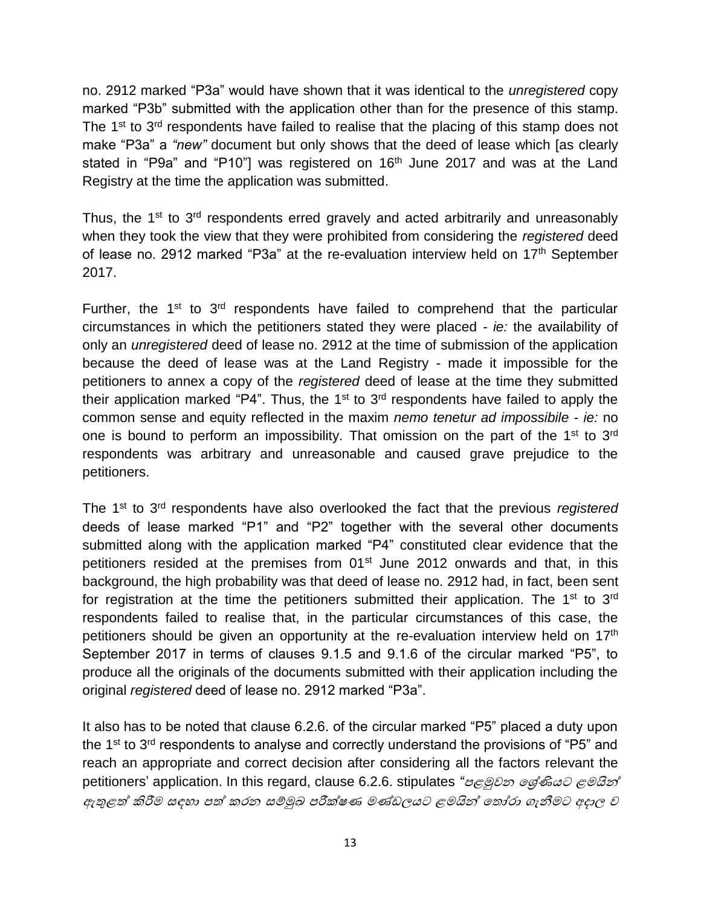no. 2912 marked "P3a" would have shown that it was identical to the *unregistered* copy marked "P3b" submitted with the application other than for the presence of this stamp. The 1<sup>st</sup> to 3<sup>rd</sup> respondents have failed to realise that the placing of this stamp does not make "P3a" a *"new"* document but only shows that the deed of lease which [as clearly stated in "P9a" and "P10"] was registered on 16<sup>th</sup> June 2017 and was at the Land Registry at the time the application was submitted.

Thus, the 1<sup>st</sup> to 3<sup>rd</sup> respondents erred gravely and acted arbitrarily and unreasonably when they took the view that they were prohibited from considering the *registered* deed of lease no. 2912 marked "P3a" at the re-evaluation interview held on 17<sup>th</sup> September 2017.

Further, the  $1<sup>st</sup>$  to  $3<sup>rd</sup>$  respondents have failed to comprehend that the particular circumstances in which the petitioners stated they were placed - *ie:* the availability of only an *unregistered* deed of lease no. 2912 at the time of submission of the application because the deed of lease was at the Land Registry - made it impossible for the petitioners to annex a copy of the *registered* deed of lease at the time they submitted their application marked "P4". Thus, the  $1<sup>st</sup>$  to  $3<sup>rd</sup>$  respondents have failed to apply the common sense and equity reflected in the maxim *nemo tenetur ad impossibile* - *ie:* no one is bound to perform an impossibility. That omission on the part of the 1<sup>st</sup> to 3<sup>rd</sup> respondents was arbitrary and unreasonable and caused grave prejudice to the petitioners.

The 1st to 3rd respondents have also overlooked the fact that the previous *registered* deeds of lease marked "P1" and "P2" together with the several other documents submitted along with the application marked "P4" constituted clear evidence that the petitioners resided at the premises from 01<sup>st</sup> June 2012 onwards and that, in this background, the high probability was that deed of lease no. 2912 had, in fact, been sent for registration at the time the petitioners submitted their application. The 1<sup>st</sup> to 3<sup>rd</sup> respondents failed to realise that, in the particular circumstances of this case, the petitioners should be given an opportunity at the re-evaluation interview held on 17<sup>th</sup> September 2017 in terms of clauses 9.1.5 and 9.1.6 of the circular marked "P5", to produce all the originals of the documents submitted with their application including the original *registered* deed of lease no. 2912 marked "P3a".

It also has to be noted that clause 6.2.6. of the circular marked "P5" placed a duty upon the  $1<sup>st</sup>$  to  $3<sup>rd</sup>$  respondents to analyse and correctly understand the provisions of "P5" and reach an appropriate and correct decision after considering all the factors relevant the petitioners' application. In this regard, clause 6.2.6. stipulates *"*පළුවන ලර්ණියට ළමයින් ඇතුළත් කිරීම සඳහා පත් කරන සේුඛ පරීක්ෂණ මණ්ඩලයට ළමයින් ලතෝරා ැනීමට අදාල <sup>ව</sup>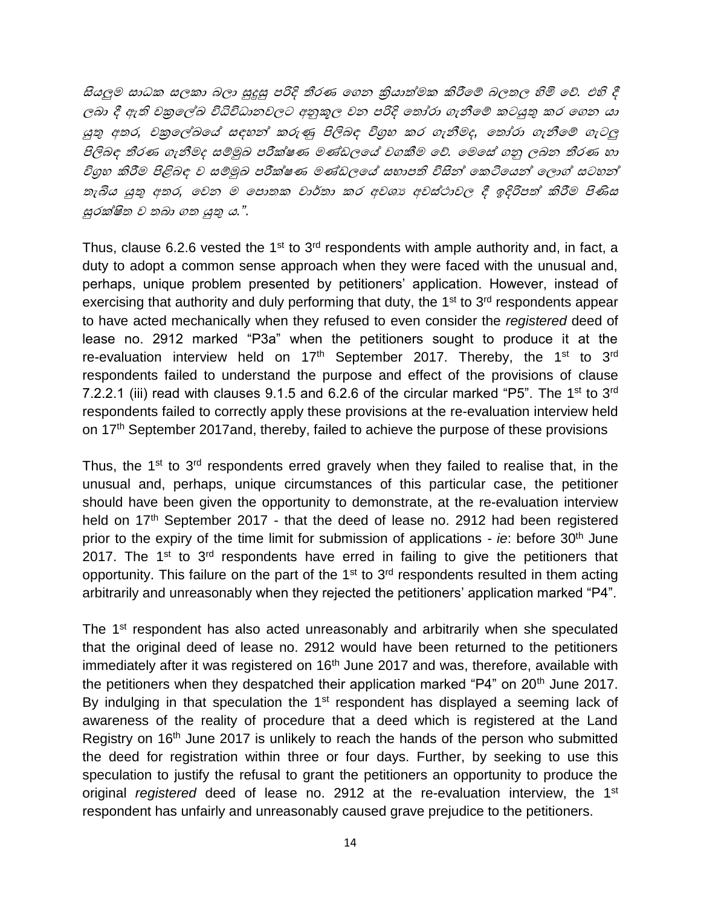සියුම සාධක සලකා බලා සුදුසු පරිද තීරණ ල න ක්රියාත්මක කිරීලේ බලතල හිමි ලේ*.* එහි දී ලබා දී ඇති චකුලේඛ විධිවිධානවලට අනුකූල වන පරිදි තෝරා ගැනීමේ කටයුතු කර ගෙන යා යුතු අතර*,* චක්රලේඛලේ සඳහන් කරුණු පිලිබඳ විග්රහ කර ැනීමද*,* ලතෝරා ැනීලේ ැටු පිලිබඳ තීරණ ැනීමද සේුඛ පරීක්ෂණ මණ්ඩලලේ ව කීම ලේ*.* ලමලස් නු ලබන තීරණ හා විග්රහ කිරීම පිළිබඳ <sup>ව</sup> සේුඛ පරීක්ෂණ මණ්ඩලලේ සභාපති විසින් ලකටිලයන් ලලාේ සටහන් තැබිය යුතු අතර*,* ලවන <sup>ම</sup> ලපාතක වාර්තා කර අවශ්ය අවස්ථාවල දී ඉදරිපත් කිරීම පිණිස සුරක්ිත <sup>ව</sup> තබා ත යුතු <sup>ය</sup>*."*.

Thus, clause 6.2.6 vested the 1<sup>st</sup> to  $3<sup>rd</sup>$  respondents with ample authority and, in fact, a duty to adopt a common sense approach when they were faced with the unusual and, perhaps, unique problem presented by petitioners' application. However, instead of exercising that authority and duly performing that duty, the  $1<sup>st</sup>$  to  $3<sup>rd</sup>$  respondents appear to have acted mechanically when they refused to even consider the *registered* deed of lease no. 2912 marked "P3a" when the petitioners sought to produce it at the re-evaluation interview held on 17<sup>th</sup> September 2017. Thereby, the 1<sup>st</sup> to 3<sup>rd</sup> respondents failed to understand the purpose and effect of the provisions of clause 7.2.2.1 (iii) read with clauses  $9.1.5$  and  $6.2.6$  of the circular marked "P5". The 1<sup>st</sup> to 3<sup>rd</sup> respondents failed to correctly apply these provisions at the re-evaluation interview held on 17th September 2017and, thereby, failed to achieve the purpose of these provisions

Thus, the 1<sup>st</sup> to 3<sup>rd</sup> respondents erred gravely when they failed to realise that, in the unusual and, perhaps, unique circumstances of this particular case, the petitioner should have been given the opportunity to demonstrate, at the re-evaluation interview held on 17<sup>th</sup> September 2017 - that the deed of lease no. 2912 had been registered prior to the expiry of the time limit for submission of applications - *ie*: before 30<sup>th</sup> June 2017. The  $1<sup>st</sup>$  to  $3<sup>rd</sup>$  respondents have erred in failing to give the petitioners that opportunity. This failure on the part of the  $1<sup>st</sup>$  to  $3<sup>rd</sup>$  respondents resulted in them acting arbitrarily and unreasonably when they rejected the petitioners' application marked "P4".

The 1<sup>st</sup> respondent has also acted unreasonably and arbitrarily when she speculated that the original deed of lease no. 2912 would have been returned to the petitioners immediately after it was registered on 16<sup>th</sup> June 2017 and was, therefore, available with the petitioners when they despatched their application marked "P4" on 20<sup>th</sup> June 2017. By indulging in that speculation the  $1<sup>st</sup>$  respondent has displayed a seeming lack of awareness of the reality of procedure that a deed which is registered at the Land Registry on 16<sup>th</sup> June 2017 is unlikely to reach the hands of the person who submitted the deed for registration within three or four days. Further, by seeking to use this speculation to justify the refusal to grant the petitioners an opportunity to produce the original *registered* deed of lease no. 2912 at the re-evaluation interview, the 1<sup>st</sup> respondent has unfairly and unreasonably caused grave prejudice to the petitioners.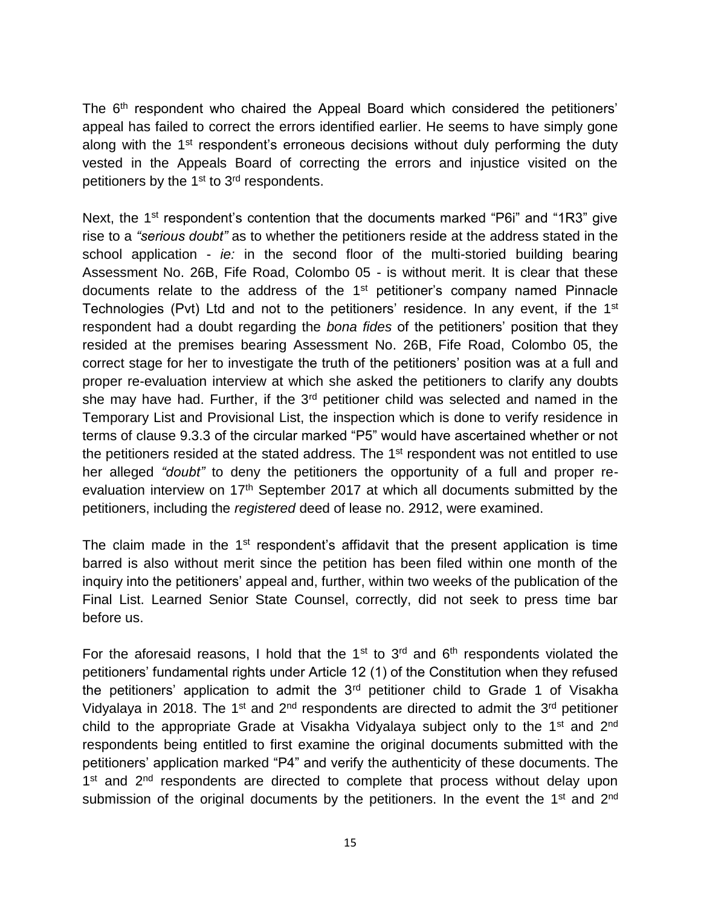The 6<sup>th</sup> respondent who chaired the Appeal Board which considered the petitioners' appeal has failed to correct the errors identified earlier. He seems to have simply gone along with the 1<sup>st</sup> respondent's erroneous decisions without duly performing the duty vested in the Appeals Board of correcting the errors and injustice visited on the petitioners by the  $1<sup>st</sup>$  to  $3<sup>rd</sup>$  respondents.

Next, the 1<sup>st</sup> respondent's contention that the documents marked "P6i" and "1R3" give rise to a *"serious doubt"* as to whether the petitioners reside at the address stated in the school application - *ie:* in the second floor of the multi-storied building bearing Assessment No. 26B, Fife Road, Colombo 05 - is without merit. It is clear that these documents relate to the address of the 1<sup>st</sup> petitioner's company named Pinnacle Technologies (Pvt) Ltd and not to the petitioners' residence. In any event, if the 1<sup>st</sup> respondent had a doubt regarding the *bona fides* of the petitioners' position that they resided at the premises bearing Assessment No. 26B, Fife Road, Colombo 05, the correct stage for her to investigate the truth of the petitioners' position was at a full and proper re-evaluation interview at which she asked the petitioners to clarify any doubts she may have had. Further, if the 3<sup>rd</sup> petitioner child was selected and named in the Temporary List and Provisional List, the inspection which is done to verify residence in terms of clause 9.3.3 of the circular marked "P5" would have ascertained whether or not the petitioners resided at the stated address. The 1<sup>st</sup> respondent was not entitled to use her alleged *"doubt"* to deny the petitioners the opportunity of a full and proper reevaluation interview on 17<sup>th</sup> September 2017 at which all documents submitted by the petitioners, including the *registered* deed of lease no. 2912, were examined.

The claim made in the  $1<sup>st</sup>$  respondent's affidavit that the present application is time barred is also without merit since the petition has been filed within one month of the inquiry into the petitioners' appeal and, further, within two weeks of the publication of the Final List. Learned Senior State Counsel, correctly, did not seek to press time bar before us.

For the aforesaid reasons, I hold that the  $1<sup>st</sup>$  to  $3<sup>rd</sup>$  and  $6<sup>th</sup>$  respondents violated the petitioners' fundamental rights under Article 12 (1) of the Constitution when they refused the petitioners' application to admit the  $3<sup>rd</sup>$  petitioner child to Grade 1 of Visakha Vidyalaya in 2018. The 1<sup>st</sup> and  $2^{nd}$  respondents are directed to admit the  $3^{rd}$  petitioner child to the appropriate Grade at Visakha Vidyalaya subject only to the 1<sup>st</sup> and 2<sup>nd</sup> respondents being entitled to first examine the original documents submitted with the petitioners' application marked "P4" and verify the authenticity of these documents. The 1<sup>st</sup> and 2<sup>nd</sup> respondents are directed to complete that process without delay upon submission of the original documents by the petitioners. In the event the  $1<sup>st</sup>$  and  $2<sup>nd</sup>$